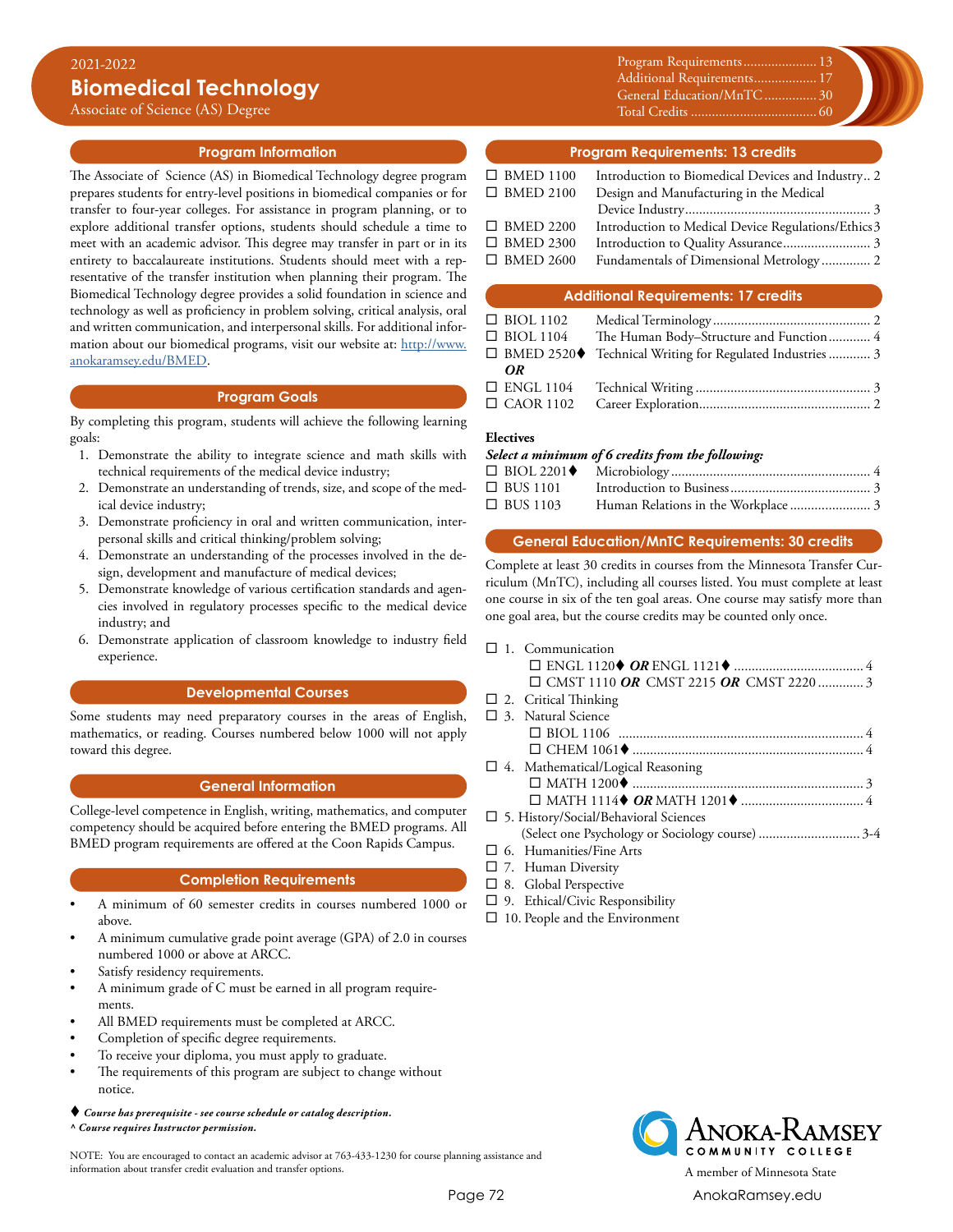Associate of Science (AS) Degree

# **Program Information**

The Associate of Science (AS) in Biomedical Technology degree program prepares students for entry-level positions in biomedical companies or for transfer to four-year colleges. For assistance in program planning, or to explore additional transfer options, students should schedule a time to meet with an academic advisor. This degree may transfer in part or in its entirety to baccalaureate institutions. Students should meet with a representative of the transfer institution when planning their program. The Biomedical Technology degree provides a solid foundation in science and technology as well as proficiency in problem solving, critical analysis, oral and written communication, and interpersonal skills. For additional information about our biomedical programs, visit our website at: [http://www.](http://www.anokaramsey.edu/BMED) [anokaramsey.edu/BMED.](http://www.anokaramsey.edu/BMED)

## **Program Goals**

By completing this program, students will achieve the following learning goals:

- 1. Demonstrate the ability to integrate science and math skills with technical requirements of the medical device industry;
- 2. Demonstrate an understanding of trends, size, and scope of the medical device industry;
- 3. Demonstrate proficiency in oral and written communication, interpersonal skills and critical thinking/problem solving;
- 4. Demonstrate an understanding of the processes involved in the design, development and manufacture of medical devices;
- 5. Demonstrate knowledge of various certification standards and agencies involved in regulatory processes specific to the medical device industry; and
- 6. Demonstrate application of classroom knowledge to industry field experience.

# **Developmental Courses**

Some students may need preparatory courses in the areas of English, mathematics, or reading. Courses numbered below 1000 will not apply toward this degree.

# **General Information**

College-level competence in English, writing, mathematics, and computer competency should be acquired before entering the BMED programs. All BMED program requirements are offered at the Coon Rapids Campus.

# **Completion Requirements**

- A minimum of 60 semester credits in courses numbered 1000 or above.
- A minimum cumulative grade point average (GPA) of 2.0 in courses numbered 1000 or above at ARCC.
- Satisfy residency requirements.
- A minimum grade of C must be earned in all program requirements.
- All BMED requirements must be completed at ARCC.
- Completion of specific degree requirements.
- To receive your diploma, you must apply to graduate.
- The requirements of this program are subject to change without notice.

#### *Course has prerequisite - see course schedule or catalog description. ^ Course requires Instructor permission.*

NOTE: You are encouraged to contact an academic advisor at 763-433-1230 for course planning assistance and information about transfer credit evaluation and transfer options. A member of Minnesota State

Program Requirements...................... 13 Additional Requirements................... 17 General Education/MnTC................ 30 Total Credits..................................... 60

### **Program Requirements: 13 credits**

| $\Box$ BMED 1100 | Introduction to Biomedical Devices and Industry 2   |
|------------------|-----------------------------------------------------|
| $\Box$ BMED 2100 | Design and Manufacturing in the Medical             |
|                  |                                                     |
| $\Box$ BMED 2200 | Introduction to Medical Device Regulations/Ethics 3 |
| $\Box$ BMED 2300 |                                                     |
| $\Box$ BMED 2600 |                                                     |
|                  |                                                     |

### **Additional Requirements: 17 credits**

| $\Box$ BIOL 1102 |                                                            |  |
|------------------|------------------------------------------------------------|--|
| $\Box$ BIOL 1104 | The Human Body-Structure and Function 4                    |  |
|                  | □ BMED 2520◆ Technical Writing for Regulated Industries  3 |  |
| OR               |                                                            |  |
|                  |                                                            |  |
|                  |                                                            |  |

## **Electives**

## *Select a minimum of 6 credits from the following:*

| $\Box$ BUS 1101 |                                     |  |
|-----------------|-------------------------------------|--|
| $\Box$ BUS 1103 | Human Relations in the Workplace  3 |  |

## **General Education/MnTC Requirements: 30 credits**

Complete at least 30 credits in courses from the Minnesota Transfer Curriculum (MnTC), including all courses listed. You must complete at least one course in six of the ten goal areas. One course may satisfy more than one goal area, but the course credits may be counted only once.

|  | $\Box$ 1. Communication                      |  |
|--|----------------------------------------------|--|
|  |                                              |  |
|  | $\Box$ CMST 1110 OR CMST 2215 OR CMST 2220 3 |  |
|  | $\Box$ 2. Critical Thinking                  |  |
|  | $\Box$ 3. Natural Science                    |  |
|  |                                              |  |
|  |                                              |  |
|  | $\Box$ 4. Mathematical/Logical Reasoning     |  |
|  |                                              |  |
|  |                                              |  |
|  | $\Box$ 5. History/Social/Behavioral Sciences |  |
|  |                                              |  |
|  | $\Box$ 6. Humanities/Fine Arts               |  |

- $\square$  7. Human Diversity
- $\square$  8. Global Perspective
- $\square$  9. Ethical/Civic Responsibility
- $\square$  10. People and the Environment